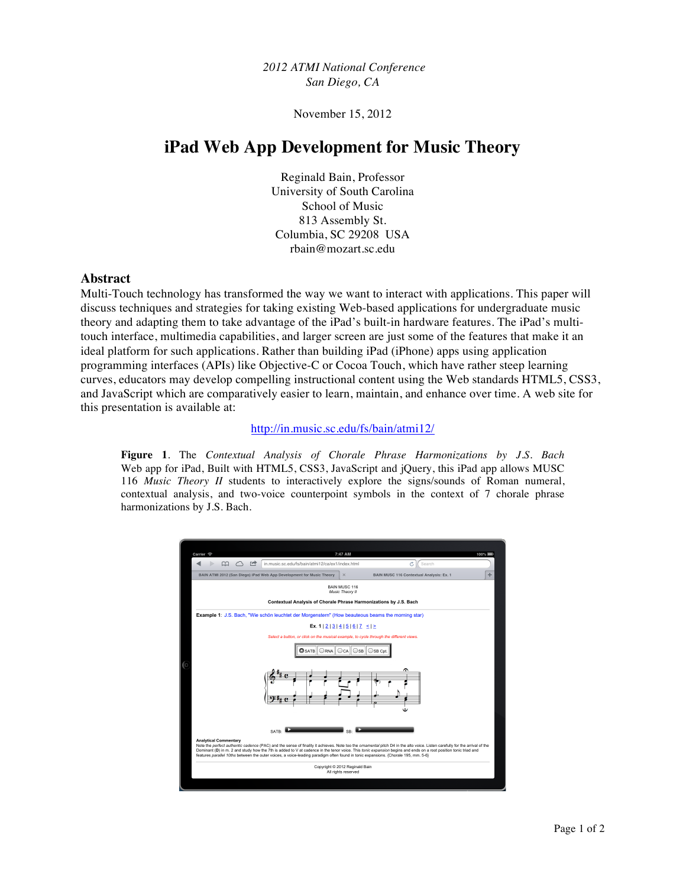*2012 ATMI National Conference San Diego, CA*

November 15, 2012

# **iPad Web App Development for Music Theory**

Reginald Bain, Professor University of South Carolina School of Music 813 Assembly St. Columbia, SC 29208 USA rbain@mozart.sc.edu

### **Abstract**

Multi-Touch technology has transformed the way we want to interact with applications. This paper will discuss techniques and strategies for taking existing Web-based applications for undergraduate music theory and adapting them to take advantage of the iPad's built-in hardware features. The iPad's multitouch interface, multimedia capabilities, and larger screen are just some of the features that make it an ideal platform for such applications. Rather than building iPad (iPhone) apps using application programming interfaces (APIs) like Objective-C or Cocoa Touch, which have rather steep learning curves, educators may develop compelling instructional content using the Web standards HTML5, CSS3, and JavaScript which are comparatively easier to learn, maintain, and enhance over time. A web site for this presentation is available at:

#### http://in.music.sc.edu/fs/bain/atmi12/

**Figure 1**. The *Contextual Analysis of Chorale Phrase Harmonizations by J.S. Bach* Web app for iPad, Built with HTML5, CSS3, JavaScript and jQuery, this iPad app allows MUSC 116 *Music Theory II* students to interactively explore the signs/sounds of Roman numeral, contextual analysis, and two-voice counterpoint symbols in the context of 7 chorale phrase harmonizations by J.S. Bach.